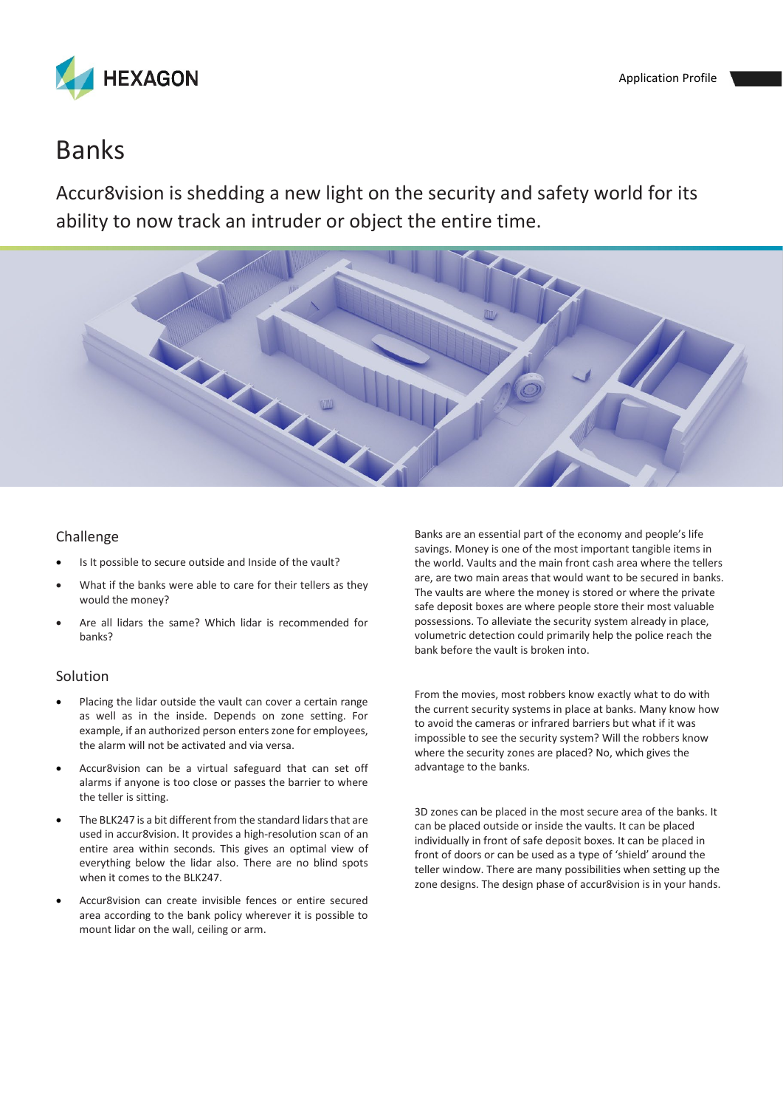

# Banks

Accur8vision is shedding a new light on the security and safety world for its ability to now track an intruder or object the entire time.



## Challenge

- Is It possible to secure outside and Inside of the vault?
- What if the banks were able to care for their tellers as they would the money?
- Are all lidars the same? Which lidar is recommended for banks?

## Solution

- Placing the lidar outside the vault can cover a certain range as well as in the inside. Depends on zone setting. For example, if an authorized person enters zone for employees, the alarm will not be activated and via versa.
- Accur8vision can be a virtual safeguard that can set off alarms if anyone is too close or passes the barrier to where the teller is sitting.
- The BLK247 is a bit different from the standard lidars that are used in accur8vision. It provides a high-resolution scan of an entire area within seconds. This gives an optimal view of everything below the lidar also. There are no blind spots when it comes to the BLK247.
- Accur8vision can create invisible fences or entire secured area according to the bank policy wherever it is possible to mount lidar on the wall, ceiling or arm.

Banks are an essential part of the economy and people's life savings. Money is one of the most important tangible items in the world. Vaults and the main front cash area where the tellers are, are two main areas that would want to be secured in banks. The vaults are where the money is stored or where the private safe deposit boxes are where people store their most valuable possessions. To alleviate the security system already in place, volumetric detection could primarily help the police reach the bank before the vault is broken into.

From the movies, most robbers know exactly what to do with the current security systems in place at banks. Many know how to avoid the cameras or infrared barriers but what if it was impossible to see the security system? Will the robbers know where the security zones are placed? No, which gives the advantage to the banks.

3D zones can be placed in the most secure area of the banks. It can be placed outside or inside the vaults. It can be placed individually in front of safe deposit boxes. It can be placed in front of doors or can be used as a type of 'shield' around the teller window. There are many possibilities when setting up the zone designs. The design phase of accur8vision is in your hands.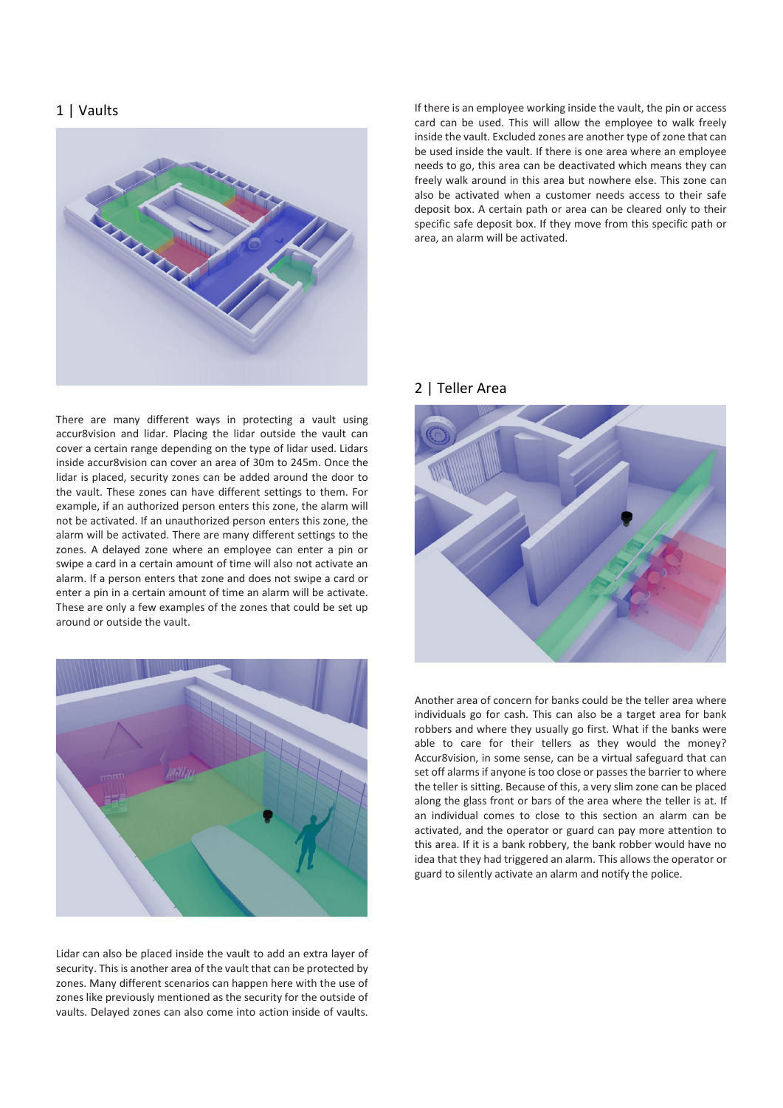### 1 | Vaults



There are many different ways in protecting a vault using accur8vision and lidar. Placing the lidar outside the vault can cover a certain range depending on the type of lidar used. Lidars inside accur8vision can cover an area of 30m to 245m. Once the lidar is placed, security zones can be added around the door to the vault. These zones can have different settings to them. For example, if an authorized person enters this zone, the alarm will not be activated. If an unauthorized person enters this zone, the alarm will be activated. There are many different settings to the zones. A delayed zone where an employee can enter a pin or swipe a card in a certain amount of time will also not activate an alarm. If a person enters that zone and does not swipe a card or enter a pin in a certain amount of time an alarm will be activate. These are only a few examples of the zones that could be set up around or outside the vault.



Lidar can also be placed inside the vault to add an extra layer of security. This is another area of the vault that can be protected by zones. Many different scenarios can happen here with the use of zones like previously mentioned as the security for the outside of vaults. Delayed zones can also come into action inside of vaults.

If there is an employee working inside the vault, the pin or access card can be used. This will allow the employee to walk freely inside the vault. Excluded zones are another type of zone that can be used inside the vault. If there is one area where an employee needs to go, this area can be deactivated which means they can freely walk around in this area but nowhere else. This zone can also be activated when a customer needs access to their safe deposit box. A certain path or area can be cleared only to their specific safe deposit box. If they move from this specific path or area, an alarm will be activated.

#### 2 | Teller Area



Another area of concern for banks could be the teller area where individuals go for cash. This can also be a target area for bank robbers and where they usually go first. What if the banks were able to care for their tellers as they would the money? Accur8vision, in some sense, can be a virtual safeguard that can set off alarms if anyone is too close or passes the barrier to where the teller is sitting. Because of this, a very slim zone can be placed along the glass front or bars of the area where the teller is at. If an individual comes to close to this section an alarm can be activated, and the operator or guard can pay more attention to this area. If it is a bank robbery, the bank robber would have no idea that they had triggered an alarm. This allows the operator or guard to silently activate an alarm and notify the police.